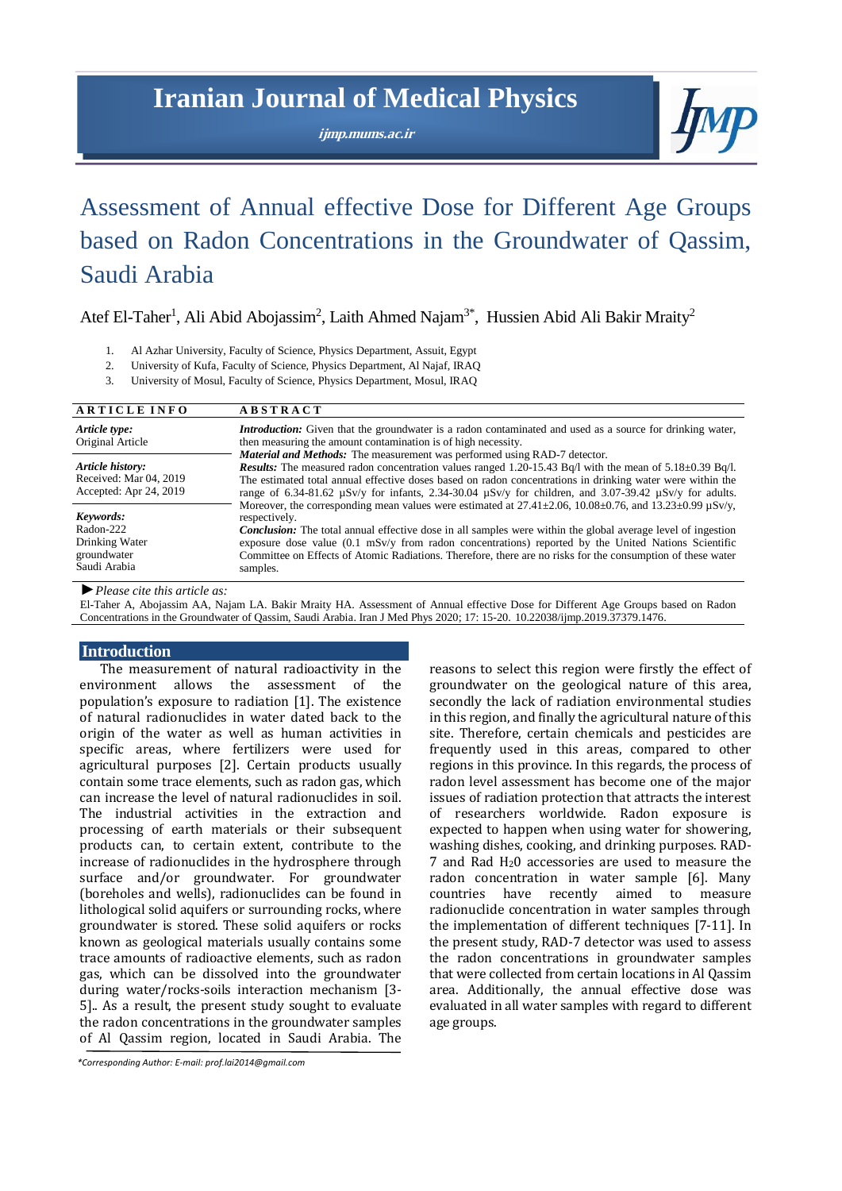# **Iranian Journal of Medical Physics**

**ijmp.mums.ac.ir**



# Assessment of Annual effective Dose for Different Age Groups based on Radon Concentrations in the Groundwater of Qassim, Saudi Arabia

Atef El-Taher<sup>1</sup>, Ali Abid Abojassim<sup>2</sup>, Laith Ahmed Najam<sup>3\*</sup>, Hussien Abid Ali Bakir Mraity<sup>2</sup>

- 1. Al Azhar University, Faculty of Science, Physics Department, Assuit, Egypt
- 2. University of Kufa, Faculty of Science, Physics Department, Al Najaf, IRAQ
- 3. University of Mosul, Faculty of Science, Physics Department, Mosul, IRAQ

| <b>ARTICLE INFO</b>                                                     | <b>ABSTRACT</b>                                                                                                                                                                                                                                                                                                                                                                                                                                                                                                      |  |
|-------------------------------------------------------------------------|----------------------------------------------------------------------------------------------------------------------------------------------------------------------------------------------------------------------------------------------------------------------------------------------------------------------------------------------------------------------------------------------------------------------------------------------------------------------------------------------------------------------|--|
| Article type:<br>Original Article                                       | <b>Introduction:</b> Given that the groundwater is a radon contaminated and used as a source for drinking water,<br>then measuring the amount contamination is of high necessity.<br><b>Material and Methods:</b> The measurement was performed using RAD-7 detector.                                                                                                                                                                                                                                                |  |
| Article history:<br>Received: Mar 04, 2019<br>Accepted: Apr 24, 2019    | <b>Results:</b> The measured radon concentration values ranged 1.20-15.43 Bq/l with the mean of $5.18\pm0.39$ Bq/l.<br>The estimated total annual effective doses based on radon concentrations in drinking water were within the<br>range of 6.34-81.62 $\mu$ Sv/y for infants, 2.34-30.04 $\mu$ Sv/y for children, and 3.07-39.42 $\mu$ Sv/y for adults.                                                                                                                                                           |  |
| Keywords:<br>Radon-222<br>Drinking Water<br>groundwater<br>Saudi Arabia | Moreover, the corresponding mean values were estimated at $27.41 \pm 2.06$ , $10.08 \pm 0.76$ , and $13.23 \pm 0.99$ $\mu$ Sv/y,<br>respectively.<br><b>Conclusion:</b> The total annual effective dose in all samples were within the global average level of ingestion<br>exposure dose value $(0.1 \text{ mSv/y}$ from radon concentrations) reported by the United Nations Scientific<br>Committee on Effects of Atomic Radiations. Therefore, there are no risks for the consumption of these water<br>samples. |  |

*►Please cite this article as:*

El-Taher A, Abojassim AA, Najam LA. Bakir Mraity HA. Assessment of Annual effective Dose for Different Age Groups based on Radon Concentrations in the Groundwater of Qassim, Saudi Arabia. Iran J Med Phys 2020; 17: 15-20. 10.22038/ijmp.2019.37379.1476..

### **Introduction**

The measurement of natural radioactivity in the environment allows the assessment of the population's exposure to radiation [1]. The existence of natural radionuclides in water dated back to the origin of the water as well as human activities in specific areas, where fertilizers were used for agricultural purposes [2]. Certain products usually contain some trace elements, such as radon gas, which can increase the level of natural radionuclides in soil. The industrial activities in the extraction and processing of earth materials or their subsequent products can, to certain extent, contribute to the increase of radionuclides in the hydrosphere through surface and/or groundwater. For groundwater (boreholes and wells), radionuclides can be found in lithological solid aquifers or surrounding rocks, where groundwater is stored. These solid aquifers or rocks known as geological materials usually contains some trace amounts of radioactive elements, such as radon gas, which can be dissolved into the groundwater during water/rocks-soils interaction mechanism [3- 5].. As a result, the present study sought to evaluate the radon concentrations in the groundwater samples of Al Qassim region, located in Saudi Arabia. The reasons to select this region were firstly the effect of groundwater on the geological nature of this area, secondly the lack of radiation environmental studies in this region, and finally the agricultural nature of this site. Therefore, certain chemicals and pesticides are frequently used in this areas, compared to other regions in this province. In this regards, the process of radon level assessment has become one of the major issues of radiation protection that attracts the interest of researchers worldwide. Radon exposure is expected to happen when using water for showering, washing dishes, cooking, and drinking purposes. RAD-7 and Rad H20 accessories are used to measure the radon concentration in water sample [6]. Many countries have recently aimed to measure radionuclide concentration in water samples through the implementation of different techniques [7-11]. In the present study, RAD-7 detector was used to assess the radon concentrations in groundwater samples that were collected from certain locations in Al Qassim area. Additionally, the annual effective dose was evaluated in all water samples with regard to different age groups.

*<sup>\*</sup>Corresponding Author: E‐mail: prof.lai2014@gmail.com*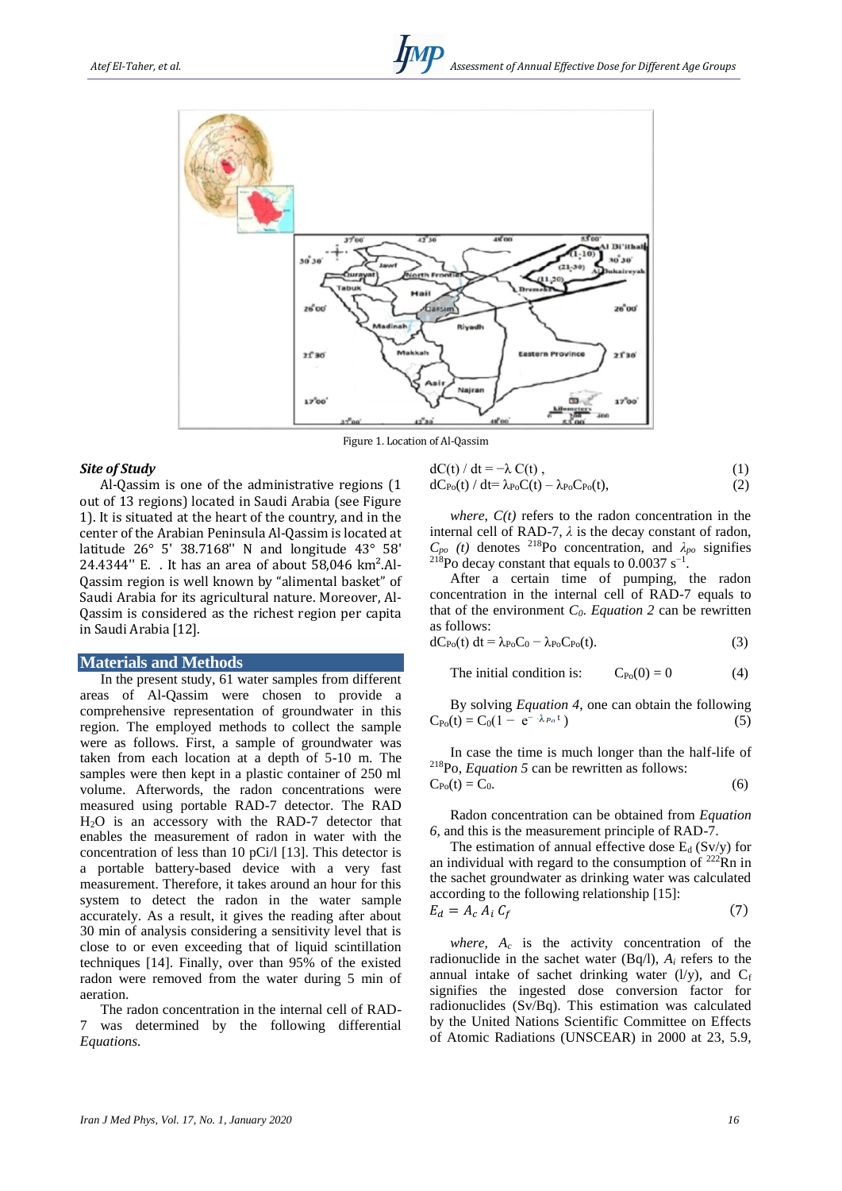

Figure 1. Location of Al-Qassim

#### *Site of Study*

Al-Qassim is one of the administrative regions (1 out of 13 regions) located in Saudi Arabia (see Figure 1). It is situated at the heart of the country, and in the center of the Arabian Peninsula Al-Qassim is located at latitude 26° 5' 38.7168'' N and longitude 43° 58' 24.4344'' E. . It has an area of about 58,046 km².Al-Qassim region is well known by "alimental basket" of Saudi Arabia for its agricultural nature. Moreover, Al-Qassim is considered as the richest region per capita in Saudi Arabia [12].

#### **Materials and Methods**

In the present study, 61 water samples from different areas of Al-Qassim were chosen to provide a comprehensive representation of groundwater in this region. The employed methods to collect the sample were as follows. First, a sample of groundwater was taken from each location at a depth of 5-10 m. The samples were then kept in a plastic container of 250 ml volume. Afterwords, the radon concentrations were measured using portable RAD-7 detector. The RAD H2O is an accessory with the RAD-7 detector that enables the measurement of radon in water with the concentration of less than 10 pCi/l [13]. This detector is a portable battery-based device with a very fast measurement. Therefore, it takes around an hour for this system to detect the radon in the water sample accurately. As a result, it gives the reading after about 30 min of analysis considering a sensitivity level that is close to or even exceeding that of liquid scintillation techniques [14]. Finally, over than 95% of the existed radon were removed from the water during 5 min of aeration.

The radon concentration in the internal cell of RAD-7 was determined by the following differential *Equations.*

$$
dC(t) / dt = -\lambda C(t),
$$
  
\n
$$
dC_{Po}(t) / dt = \lambda_{Po} C(t) - \lambda_{Po} C_{Po}(t),
$$
\n(1)

*where*, *C(t)* refers to the radon concentration in the internal cell of RAD-7,  $\lambda$  is the decay constant of radon,  $C_{po}$  (*t*) denotes <sup>218</sup>Po concentration, and  $\lambda_{po}$  signifies <sup>218</sup>Po decay constant that equals to  $0.0037 \text{ s}^{-1}$ .

After a certain time of pumping, the radon concentration in the internal cell of RAD-7 equals to that of the environment *C0*. *Equation 2* can be rewritten as follows:

$$
dC_{Po}(t) dt = \lambda_{Po} C_0 - \lambda_{Po} C_{Po}(t).
$$
 (3)

The initial condition is: 
$$
C_{P_0}(0) = 0
$$
 (4)

By solving *Equation 4*, one can obtain the following  $C_{Po}(t) = C_0(1 - e^{-\lambda_{Po} t})$  $(5)$ 

In case the time is much longer than the half-life of <sup>218</sup>Po, *Equation 5* can be rewritten as follows:

$$
C_{Po}(t) = C_0. \tag{6}
$$

Radon concentration can be obtained from *Equation 6*, and this is the measurement principle of RAD-7.

The estimation of annual effective dose  $E_d$  (Sv/y) for an individual with regard to the consumption of  $^{222}$ Rn in the sachet groundwater as drinking water was calculated according to the following relationship [15]:  $E_d = A_c A_i C_f$ (7)

*where,*  $A_c$  is the activity concentration of the radionuclide in the sachet water  $(Bq/l)$ ,  $A_i$  refers to the annual intake of sachet drinking water  $(l/v)$ , and  $C_f$ signifies the ingested dose conversion factor for radionuclides (Sv/Bq). This estimation was calculated by the United Nations Scientific Committee on Effects of Atomic Radiations (UNSCEAR) in 2000 at 23, 5.9,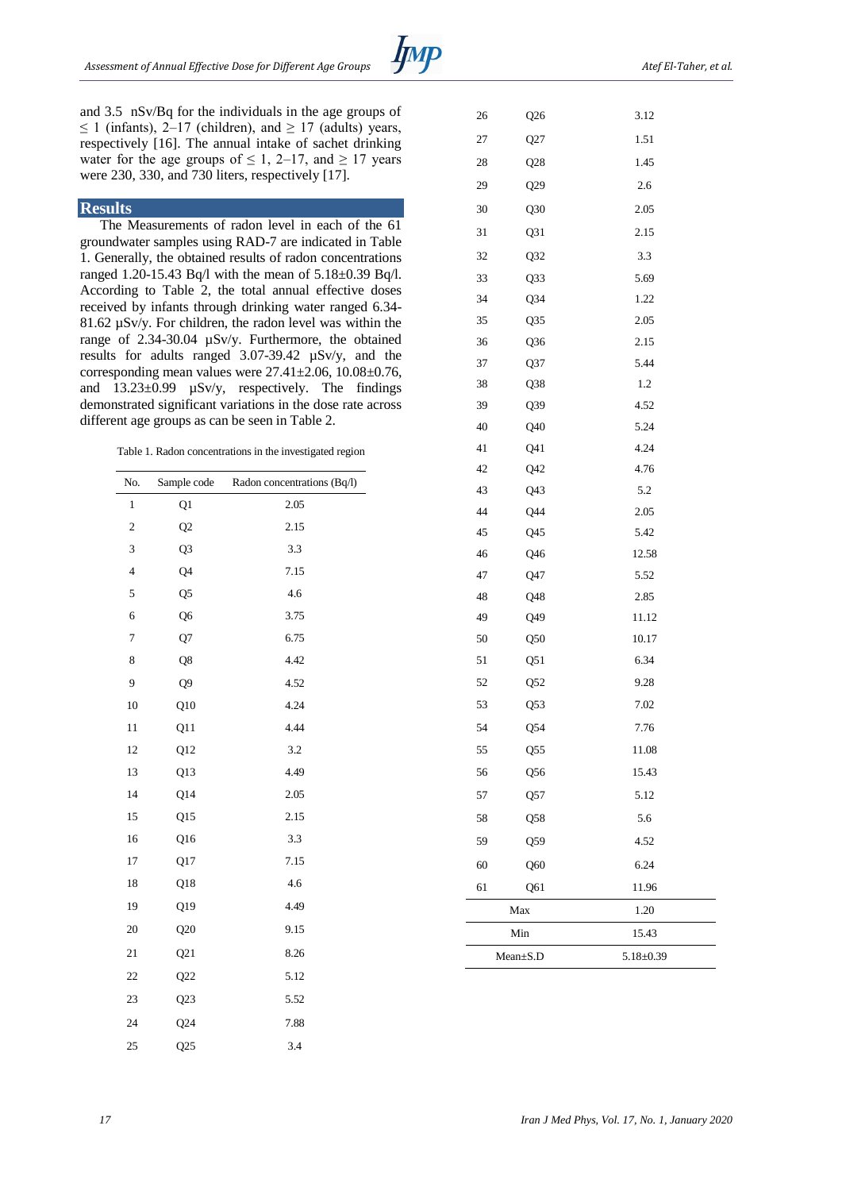26 026 27 027

and 3.5 nSv/Bq for the individuals in the age groups of ≤ 1 (infants), 2–17 (children), and ≥ 17 (adults) years, respectively [16]. The annual intake of sachet drinking water for the age groups of  $\leq 1$ , 2–17, and  $\geq 17$  years were 230, 330, and 730 liters, respectively [17].

### **Results**

The Measurements of radon level in each of the 61 groundwater samples using RAD-7 are indicated in Table 1. Generally, the obtained results of radon concentrations ranged 1.20-15.43 Bq/l with the mean of 5.18±0.39 Bq/l. According to Table 2, the total annual effective doses received by infants through drinking water ranged 6.34- 81.62 µSv/y. For children, the radon level was within the range of 2.34-30.04 µSv/y. Furthermore, the obtained results for adults ranged 3.07-39.42 µSv/y, and the corresponding mean values were 27.41±2.06, 10.08±0.76, and  $13.23\pm0.99$   $\mu$ Sv/y, respectively. The findings demonstrated significant variations in the dose rate across different age groups as can be seen in Table 2.

Table 1. Radon concentrations in the investigated region

| No.            | Sample code     | Radon concentrations (Bq/l) |
|----------------|-----------------|-----------------------------|
| 1              | Q1              | 2.05                        |
| $\overline{c}$ | Q2              | 2.15                        |
| 3              | Q <sub>3</sub>  | 3.3                         |
| $\overline{4}$ | Q <sub>4</sub>  | 7.15                        |
| 5              | Q <sub>5</sub>  | 4.6                         |
| 6              | Q <sub>6</sub>  | 3.75                        |
| 7              | Q7              | 6.75                        |
| 8              | Q8              | 4.42                        |
| 9              | Q <sub>9</sub>  | 4.52                        |
| 10             | Q10             | 4.24                        |
| 11             | Q11             | 4.44                        |
| 12             | Q12             | 3.2                         |
| 13             | Q13             | 4.49                        |
| 14             | Q14             | 2.05                        |
| 15             | Q15             | 2.15                        |
| 16             | Q <sub>16</sub> | 3.3                         |
| 17             | Q17             | 7.15                        |
| 18             | Q18             | 4.6                         |
| 19             | Q19             | 4.49                        |
| 20             | Q20             | 9.15                        |
| 21             | Q21             | 8.26                        |
| 22             | Q22             | 5.12                        |
| 23             | Q23             | 5.52                        |
| 24             | Q24             | 7.88                        |
| 25             | Q25             | 3.4                         |

| ╯    |  |
|------|--|
|      |  |
| 3.12 |  |
| 1.51 |  |
| 1.45 |  |
| 2.6  |  |

|    | Mean±S.D         | $5.18 \pm 0.39$ |  |  |
|----|------------------|-----------------|--|--|
|    | Min              | 15.43           |  |  |
|    | Max              | 1.20            |  |  |
| 61 | Q61              | 11.96           |  |  |
| 60 | Q60              | 6.24            |  |  |
| 59 | Q59              | 4.52            |  |  |
| 58 | Q58              | 5.6             |  |  |
| 57 | Q57              | 5.12            |  |  |
| 56 | Q56              | 15.43           |  |  |
| 55 | Q55              | 11.08           |  |  |
| 54 | Q54              | 7.76            |  |  |
| 53 | Q <sub>53</sub>  | 7.02            |  |  |
| 52 | Q52              | 9.28            |  |  |
| 51 | Q51              | 6.34            |  |  |
| 50 | Q50              | 10.17           |  |  |
| 49 | Q49              | 11.12           |  |  |
| 48 | Q48              | 2.85            |  |  |
| 47 | Q47              | 5.52            |  |  |
| 46 | Q <sub>46</sub>  | 12.58           |  |  |
| 45 | Q <sub>45</sub>  | 5.42            |  |  |
| 44 | $Q$ 44           | 2.05            |  |  |
| 43 | Q <sub>43</sub>  | 5.2             |  |  |
| 42 | Q42              | 4.76            |  |  |
| 41 | Q41              | 4.24            |  |  |
| 40 | Q40              | 5.24            |  |  |
| 39 | Q39              | 4.52            |  |  |
| 38 | Q <sub>3</sub> 8 | 1.2             |  |  |
| 37 | Q37              | 5.44            |  |  |
| 36 | Q <sub>36</sub>  | 2.15            |  |  |
| 35 | Q <sub>35</sub>  | 2.05            |  |  |
| 34 | Q34              | 1.22            |  |  |
| 33 | Q33              | 5.69            |  |  |
| 32 | Q32              | 3.3             |  |  |
| 31 | Q31              | 2.15            |  |  |
| 30 | Q30              | 2.05            |  |  |
| 29 | Q29              | 2.6             |  |  |
| 28 | 1.45<br>Q28      |                 |  |  |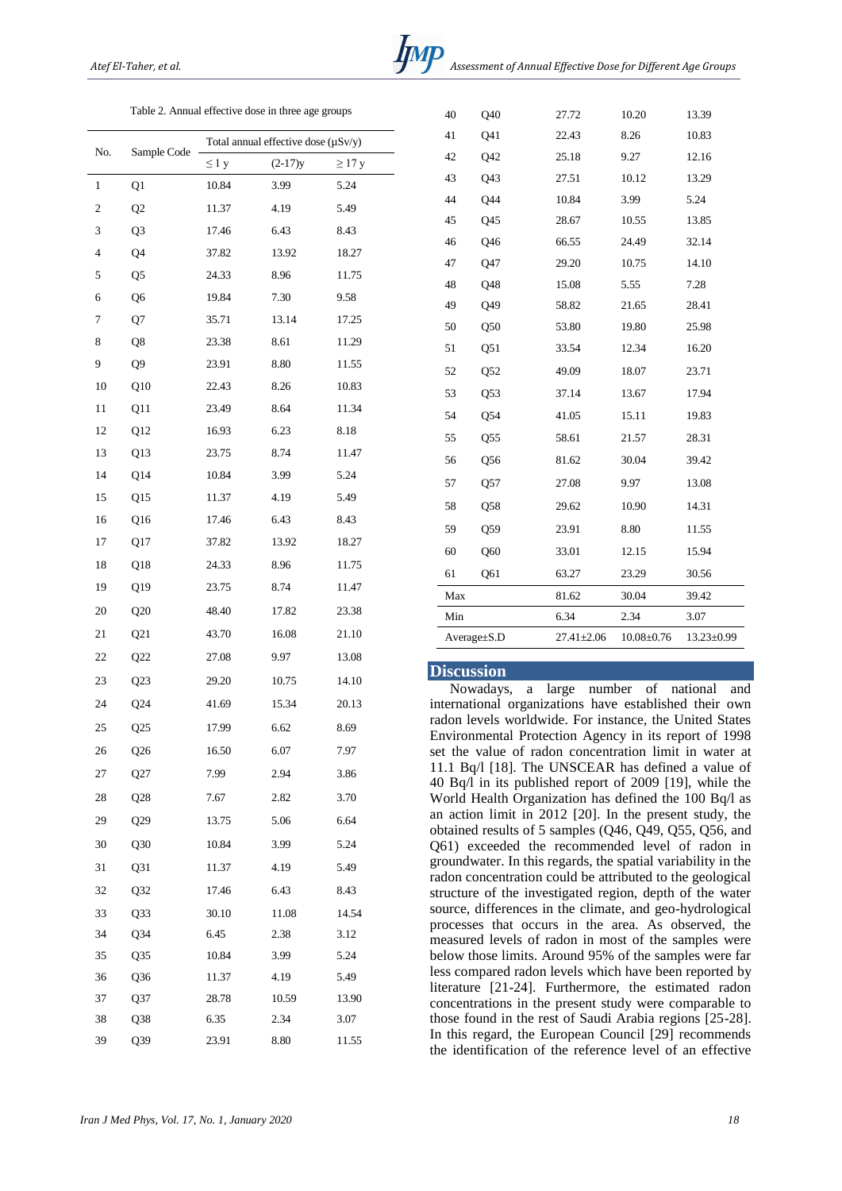Table 2. Annual effective dose in three age groups

| No. | Sample Code     | Total annual effective dose $(\mu Sv/y)$ |           |             |  |
|-----|-----------------|------------------------------------------|-----------|-------------|--|
|     |                 | $\leq 1$ y                               | $(2-17)y$ | $\geq$ 17 y |  |
| 1   | Q1              | 10.84                                    | 3.99      | 5.24        |  |
| 2   | Q <sub>2</sub>  | 11.37                                    | 4.19      | 5.49        |  |
| 3   | Q3              | 17.46                                    | 6.43      | 8.43        |  |
| 4   | Q4              | 37.82                                    | 13.92     | 18.27       |  |
| 5   | Q5              | 24.33                                    | 8.96      | 11.75       |  |
| 6   | Q6              | 19.84                                    | $7.30\,$  | 9.58        |  |
| 7   | Q7              | 35.71                                    | 13.14     | 17.25       |  |
| 8   | Q8              | 23.38                                    | 8.61      | 11.29       |  |
| 9   | Q9              | 23.91                                    | 8.80      | 11.55       |  |
| 10  | Q10             | 22.43                                    | 8.26      | 10.83       |  |
| 11  | Q11             | 23.49                                    | 8.64      | 11.34       |  |
| 12  | Q12             | 16.93                                    | 6.23      | 8.18        |  |
| 13  | Q13             | 23.75                                    | 8.74      | 11.47       |  |
| 14  | Q14             | 10.84                                    | 3.99      | 5.24        |  |
| 15  | Q15             | 11.37                                    | 4.19      | 5.49        |  |
| 16  | Q16             | 17.46                                    | 6.43      | 8.43        |  |
| 17  | Q17             | 37.82                                    | 13.92     | 18.27       |  |
| 18  | Q <sub>18</sub> | 24.33                                    | 8.96      | 11.75       |  |
| 19  | Q19             | 23.75                                    | 8.74      | 11.47       |  |
| 20  | Q20             | 48.40                                    | 17.82     | 23.38       |  |
| 21  | Q21             | 43.70                                    | 16.08     | 21.10       |  |
| 22  | Q22             | 27.08                                    | 9.97      | 13.08       |  |
| 23  | Q23             | 29.20                                    | 10.75     | 14.10       |  |
| 24  | Q24             | 41.69                                    | 15.34     | 20.13       |  |
| 25  | Q25             | 17.99                                    | 6.62      | 8.69        |  |
| 26  | Q26             | 16.50                                    | 6.07      | 7.97        |  |
| 27  | Q27             | 7.99                                     | 2.94      | 3.86        |  |
| 28  | Q28             | 7.67                                     | 2.82      | 3.70        |  |
| 29  | Q29             | 13.75                                    | 5.06      | 6.64        |  |
| 30  | Q30             | 10.84                                    | 3.99      | 5.24        |  |
| 31  | Q31             | 11.37                                    | 4.19      | 5.49        |  |
| 32  | Q32             | 17.46                                    | 6.43      | 8.43        |  |
| 33  | Q33             | 30.10                                    | 11.08     | 14.54       |  |
| 34  | Q34             | 6.45                                     | 2.38      | 3.12        |  |
| 35  | Q <sub>35</sub> | 10.84                                    | 3.99      | 5.24        |  |
| 36  | Q <sub>36</sub> | 11.37                                    | 4.19      | 5.49        |  |
| 37  | Q37             | 28.78                                    | 10.59     | 13.90       |  |
| 38  | Q38             | 6.35                                     | 2.34      | 3.07        |  |
| 39  | Q39             | 23.91                                    | 8.80      | 11.55       |  |

| 40  | Q40               | 27.72            | 10.20          | 13.39      |
|-----|-------------------|------------------|----------------|------------|
| 41  | Q41               | 22.43            | 8.26           | 10.83      |
| 42  | Q42               | 25.18            | 9.27           | 12.16      |
| 43  | Q43               | 27.51            | 10.12          | 13.29      |
| 44  | Q44               | 10.84            | 3.99           | 5.24       |
| 45  | Q45               | 28.67            | 10.55          | 13.85      |
| 46  | Q46               | 66.55            | 24.49          | 32.14      |
| 47  | Q47               | 29.20            | 10.75          | 14.10      |
| 48  | Q48               | 15.08            | 5.55           | 7.28       |
| 49  | Q49               | 58.82            | 21.65          | 28.41      |
| 50  | Q50               | 53.80            | 19.80          | 25.98      |
| 51  | Q51               | 33.54            | 12.34          | 16.20      |
| 52  | Q52               | 49.09            | 18.07          | 23.71      |
| 53  | Q53               | 37.14            | 13.67          | 17.94      |
| 54  | Q54               | 41.05            | 15.11          | 19.83      |
| 55  | Q <sub>55</sub>   | 58.61            | 21.57          | 28.31      |
| 56  | Q <sub>56</sub>   | 81.62            | 30.04          | 39.42      |
| 57  | Q57               | 27.08            | 9.97           | 13.08      |
| 58  | Q58               | 29.62            | 10.90          | 14.31      |
| 59  | Q59               | 23.91            | 8.80           | 11.55      |
| 60  | Q60               | 33.01            | 12.15          | 15.94      |
| 61  | Q61               | 63.27            | 23.29          | 30.56      |
| Max |                   | 81.62            | 30.04          | 39.42      |
| Min |                   | 6.34             | 2.34           | 3.07       |
|     | $Average \pm S.D$ | $27.41 \pm 2.06$ | $10.08 + 0.76$ | 13.23±0.99 |

### **Discussion**

Nowadays, a large number of national and international organizations have established their own radon levels worldwide. For instance, the United States Environmental Protection Agency in its report of 1998 set the value of radon concentration limit in water at 11.1 Bq/l [18]. The UNSCEAR has defined a value of 40 Bq/l in its published report of 2009 [19], while the World Health Organization has defined the 100 Bq/l as an action limit in 2012 [20]. In the present study, the obtained results of 5 samples  $(Q46, Q49, Q55, Q56, and$ Q61) exceeded the recommended level of radon in groundwater. In this regards, the spatial variability in the radon concentration could be attributed to the geological structure of the investigated region, depth of the water source, differences in the climate, and geo-hydrological processes that occurs in the area. As observed, the measured levels of radon in most of the samples were below those limits. Around 95% of the samples were far less compared radon levels which have been reported by literature [21-24]. Furthermore, the estimated radon concentrations in the present study were comparable to those found in the rest of Saudi Arabia regions [25-28]. In this regard, the European Council [29] recommends the identification of the reference level of an effective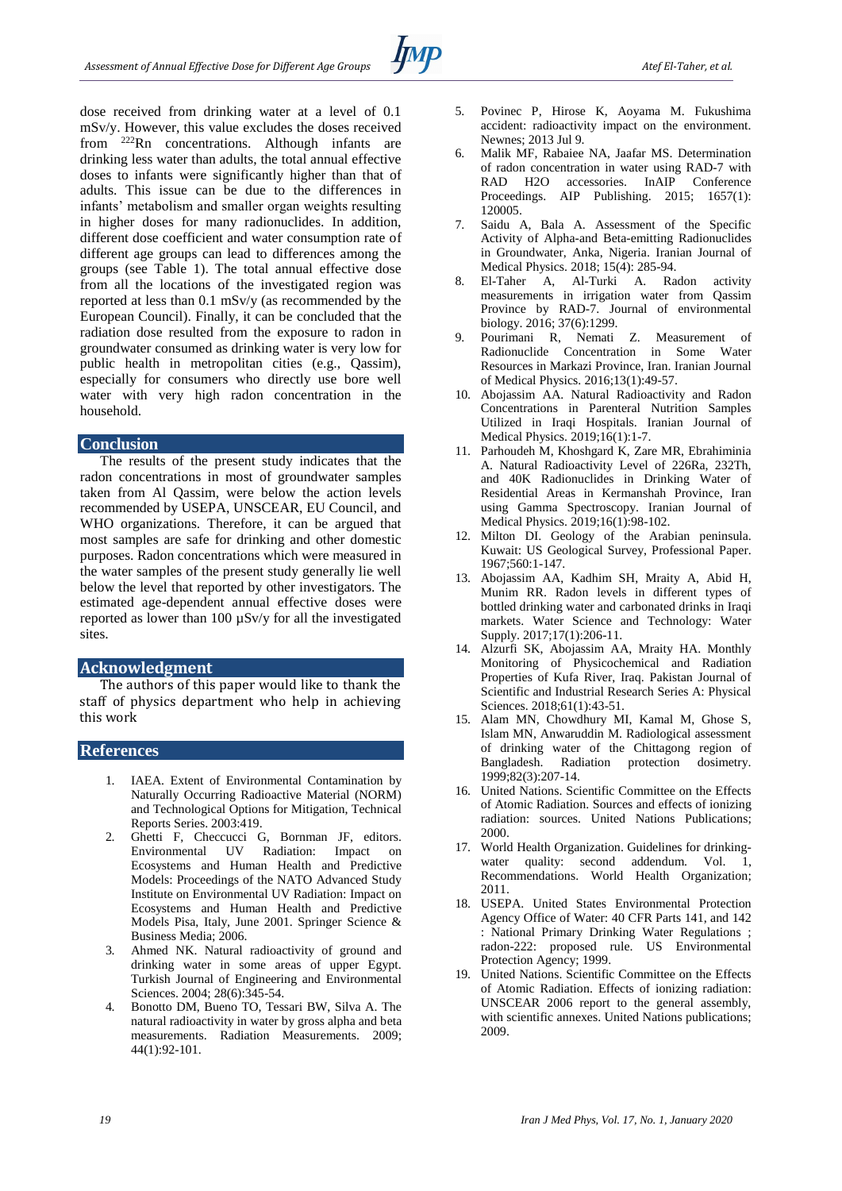dose received from drinking water at a level of 0.1 mSv/y. However, this value excludes the doses received from <sup>222</sup>Rn concentrations. Although infants are drinking less water than adults, the total annual effective doses to infants were significantly higher than that of adults. This issue can be due to the differences in infants' metabolism and smaller organ weights resulting in higher doses for many radionuclides. In addition, different dose coefficient and water consumption rate of different age groups can lead to differences among the groups (see Table 1). The total annual effective dose from all the locations of the investigated region was reported at less than 0.1 mSv/y (as recommended by the European Council). Finally, it can be concluded that the radiation dose resulted from the exposure to radon in groundwater consumed as drinking water is very low for public health in metropolitan cities (e.g., Qassim), especially for consumers who directly use bore well water with very high radon concentration in the household.

#### **Conclusion**

The results of the present study indicates that the radon concentrations in most of groundwater samples taken from Al Qassim, were below the action levels recommended by USEPA, UNSCEAR, EU Council, and WHO organizations. Therefore, it can be argued that most samples are safe for drinking and other domestic purposes. Radon concentrations which were measured in the water samples of the present study generally lie well below the level that reported by other investigators. The estimated age-dependent annual effective doses were reported as lower than 100 µSv/y for all the investigated sites.

## **Acknowledgment**

The authors of this paper would like to thank the staff of physics department who help in achieving this work

### **References**

- 1. IAEA. Extent of Environmental Contamination by Naturally Occurring Radioactive Material (NORM) and Technological Options for Mitigation, Technical Reports Series. 2003:419.
- 2. Ghetti F, Checcucci G, Bornman JF, editors. Environmental UV Radiation: Impact on Ecosystems and Human Health and Predictive Models: Proceedings of the NATO Advanced Study Institute on Environmental UV Radiation: Impact on Ecosystems and Human Health and Predictive Models Pisa, Italy, June 2001. Springer Science & Business Media; 2006.
- 3. Ahmed NK. Natural radioactivity of ground and drinking water in some areas of upper Egypt. Turkish Journal of Engineering and Environmental Sciences. 2004; 28(6):345-54.
- 4. Bonotto DM, Bueno TO, Tessari BW, Silva A. The natural radioactivity in water by gross alpha and beta measurements. Radiation Measurements. 2009; 44(1):92-101.
- 5. Povinec P, Hirose K, Aoyama M. Fukushima accident: radioactivity impact on the environment. Newnes; 2013 Jul 9.
- 6. Malik MF, Rabaiee NA, Jaafar MS. Determination of radon concentration in water using RAD-7 with RAD H2O accessories. InAIP Conference Proceedings. AIP Publishing. 2015; 1657(1): 120005.
- 7. Saidu A, Bala A. Assessment of the Specific Activity of Alpha-and Beta-emitting Radionuclides in Groundwater, Anka, Nigeria. Iranian Journal of Medical Physics. 2018; 15(4): 285-94.
- 8. El-Taher A, Al-Turki A. Radon activity measurements in irrigation water from Qassim Province by RAD-7. Journal of environmental biology. 2016; 37(6):1299.
- 9. Pourimani R, Nemati Z. Measurement of Radionuclide Concentration in Some Water Resources in Markazi Province, Iran. Iranian Journal of Medical Physics. 2016;13(1):49-57.
- 10. Abojassim AA. Natural Radioactivity and Radon Concentrations in Parenteral Nutrition Samples Utilized in Iraqi Hospitals. Iranian Journal of Medical Physics. 2019;16(1):1-7.
- 11. Parhoudeh M, Khoshgard K, Zare MR, Ebrahiminia A. Natural Radioactivity Level of 226Ra, 232Th, and 40K Radionuclides in Drinking Water of Residential Areas in Kermanshah Province, Iran using Gamma Spectroscopy. Iranian Journal of Medical Physics. 2019;16(1):98-102.
- 12. Milton DI. Geology of the Arabian peninsula. Kuwait: US Geological Survey, Professional Paper. 1967;560:1-147.
- 13. Abojassim AA, Kadhim SH, Mraity A, Abid H, Munim RR. Radon levels in different types of bottled drinking water and carbonated drinks in Iraqi markets. Water Science and Technology: Water Supply. 2017;17(1):206-11.
- 14. Alzurfi SK, Abojassim AA, Mraity HA. Monthly Monitoring of Physicochemical and Radiation Properties of Kufa River, Iraq. Pakistan Journal of Scientific and Industrial Research Series A: Physical Sciences. 2018;61(1):43-51.
- 15. Alam MN, Chowdhury MI, Kamal M, Ghose S, Islam MN, Anwaruddin M. Radiological assessment of drinking water of the Chittagong region of Bangladesh. Radiation protection dosimetry. 1999;82(3):207-14.
- 16. United Nations. Scientific Committee on the Effects of Atomic Radiation. Sources and effects of ionizing radiation: sources. United Nations Publications; 2000.
- 17. World Health Organization. Guidelines for drinkingwater quality: second addendum. Vol. 1, Recommendations. World Health Organization; 2011.
- 18. USEPA. United States Environmental Protection Agency Office of Water: 40 CFR Parts 141, and 142 : National Primary Drinking Water Regulations ; radon-222: proposed rule. US Environmental Protection Agency; 1999.
- 19. United Nations. Scientific Committee on the Effects of Atomic Radiation. Effects of ionizing radiation: UNSCEAR 2006 report to the general assembly, with scientific annexes. United Nations publications; 2009.